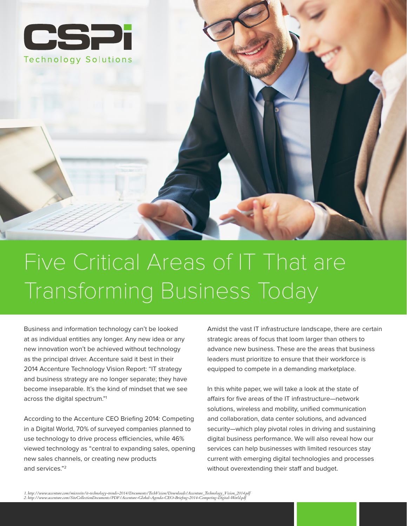

# Five Critical Areas of IT That are Transforming Business Today

Business and information technology can't be looked at as individual entities any longer. Any new idea or any new innovation won't be achieved without technology as the principal driver. Accenture said it best in their 2014 Accenture Technology Vision Report: "IT strategy and business strategy are no longer separate; they have become inseparable. It's the kind of mindset that we see across the digital spectrum."1

According to the Accenture CEO Briefing 2014: Competing in a Digital World, 70% of surveyed companies planned to use technology to drive process efficiencies, while 46% viewed technology as "central to expanding sales, opening new sales channels, or creating new products and services."2

Amidst the vast IT infrastructure landscape, there are certain strategic areas of focus that loom larger than others to advance new business. These are the areas that business leaders must prioritize to ensure that their workforce is equipped to compete in a demanding marketplace.

In this white paper, we will take a look at the state of afairs for five areas of the IT infrastructure—network solutions, wireless and mobility, unified communication and collaboration, data center solutions, and advanced security—which play pivotal roles in driving and sustaining digital business performance. We will also reveal how our services can help businesses with limited resources stay current with emerging digital technologies and processes without overextending their staff and budget.

1. http://www.accenture.com/microsite/it-technology-trends-2014/Documents/TechVision/Downloads/Accenture\_Technology\_Vision\_2014.pdf<br>2. http://www.accenture.com/SiteCollectionDocuments/PDF/Accenture-Global-Agenda-CEO-Briefi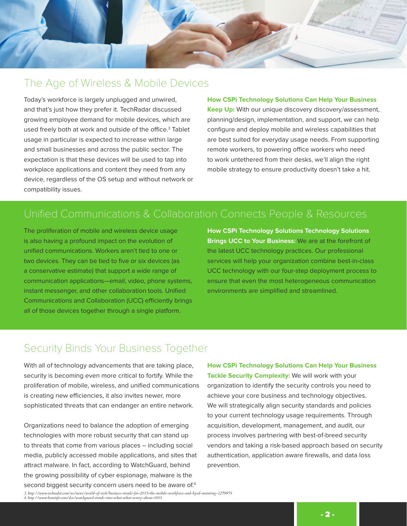

### The Age of Wireless & Mobile Devices

Today's workforce is largely unplugged and unwired, and that's just how they prefer it. TechRadar discussed growing employee demand for mobile devices, which are used freely both at work and outside of the office. $^3$  Tablet usage in particular is expected to increase within large and small businesses and across the public sector. The expectation is that these devices will be used to tap into workplace applications and content they need from any device, regardless of the OS setup and without network or compatibility issues.

**How CSPi Technology Solutions Can Help Your Business Keep Up:** With our unique discovery discovery/assessment, planning/design, implementation, and support, we can help configure and deploy mobile and wireless capabilities that are best suited for everyday usage needs. From supporting remote workers, to powering office workers who need to work untethered from their desks, we'll align the right mobile strategy to ensure productivity doesn't take a hit.

## Unified Communications & Collaboration Connects People & Resources

The proliferation of mobile and wireless device usage is also having a profound impact on the evolution of unified communications. Workers aren't tied to one or two devices. They can be tied to five or six devices (as a conservative estimate) that support a wide range of communication applications—email, video, phone systems, instant messenger, and other collaboration tools. Unified Communications and Collaboration (UCC) efficiently brings all of those devices together through a single platform.

**How CSPi Technology Solutions Technology Solutions Brings UCC to Your Business:** We are at the forefront of the latest UCC technology practices. Our professional services will help your organization combine best-in-class UCC technology with our four-step deployment process to ensure that even the most heterogeneous communication environments are simplified and streamlined.

#### Security Binds Your Business Together

With all of technology advancements that are taking place, security is becoming even more critical to fortify. While the proliferation of mobile, wireless, and unified communications is creating new efficiencies, it also invites newer, more sophisticated threats that can endanger an entire network.

Organizations need to balance the adoption of emerging technologies with more robust security that can stand up to threats that come from various places – including social media, publicly accessed mobile applications, and sites that attract malware. In fact, according to WatchGuard, behind the growing possibility of cyber espionage, malware is the second biggest security concern users need to be aware of.<sup>4</sup>

**How CSPi Technology Solutions Can Help Your Business Tackle Security Complexity:** We will work with your organization to identify the security controls you need to achieve your core business and technology objectives. We will strategically align security standards and policies to your current technology usage requirements. Through acquisition, development, management, and audit, our process involves partnering with best-of-breed security vendors and taking a risk-based approach based on security authentication, application aware firewalls, and data loss prevention.

3. http://www.techradar.com/us/news/world-of-tech/business-trends-for-2015-the-mobile-workforce-and-byod-maturing-1279975<br>4. http://www.bsminfo.com/doc/watchguard-trends-into-what-what-worry-about-0001

- 2 -